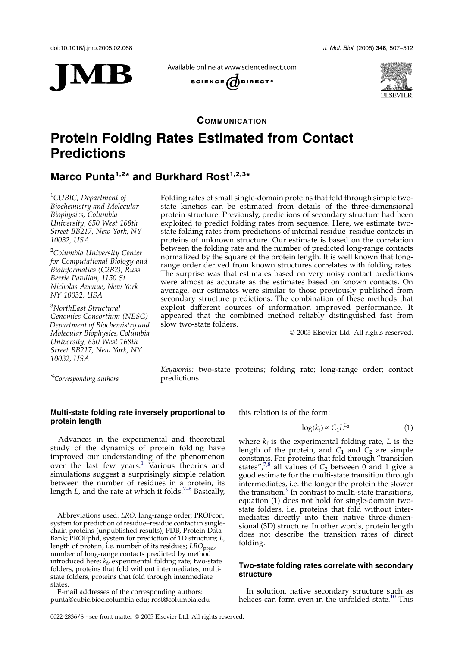

Available online at www.sciencedirect.com





**COMMUNICATION** 

# Protein Folding Rates Estimated from Contact **Predictions**

## Marco Punta<sup>1,2\*</sup> and Burkhard Rost<sup>1,2,3\*</sup>

<sup>1</sup>CUBIC, Department of Biochemistry and Molecular Biophysics, Columbia University, 650 West 168th Street BB217, New York, NY 10032, USA

<sup>2</sup>Columbia University Center for Computational Biology and Bioinformatics (C2B2), Russ Berrie Pavilion, 1150 St Nicholas Avenue, New York NY 10032, USA

3 NorthEast Structural Genomics Consortium (NESG) Department of Biochemistry and Molecular Biophysics, Columbia University, 650 West 168th Street BB217, New York, NY 10032, USA

Folding rates of small single-domain proteins that fold through simple twostate kinetics can be estimated from details of the three-dimensional protein structure. Previously, predictions of secondary structure had been exploited to predict folding rates from sequence. Here, we estimate twostate folding rates from predictions of internal residue–residue contacts in proteins of unknown structure. Our estimate is based on the correlation between the folding rate and the number of predicted long-range contacts normalized by the square of the protein length. It is well known that longrange order derived from known structures correlates with folding rates. The surprise was that estimates based on very noisy contact predictions were almost as accurate as the estimates based on known contacts. On average, our estimates were similar to those previously published from secondary structure predictions. The combination of these methods that exploit different sources of information improved performance. It appeared that the combined method reliably distinguished fast from slow two-state folders.

 $\odot$  2005 Elsevier Ltd. All rights reserved.

Keywords: two-state proteins; folding rate; long-range order; contact \*Corresponding authors predictions

## Multi-state folding rate inversely proportional to protein length

Advances in the experimental and theoretical study of the dynamics of protein folding have improved our understanding of the phenomenon over the last few years.<sup>[1](#page-4-0)</sup> Various theories and simulations suggest a surprisingly simple relation between the number of residues in a protein, its length  $L$ , and the rate at which it folds.<sup>2-6</sup> Basically,

E-mail addresses of the corresponding authors: punta@cubic.bioc.columbia.edu; rost@columbia.edu this relation is of the form:

$$
\log(k_f) \propto C_1 L^{C_2} \tag{1}
$$

where  $k_f$  is the experimental folding rate, L is the length of the protein, and  $C_1$  and  $C_2$  are simple constants. For proteins that fold through "transition states",<sup>[7,8](#page-4-0)</sup> all values of  $C_2$  between 0 and 1 give a good estimate for the multi-state transition through intermediates, i.e. the longer the protein the slower the transition.<sup>[9](#page-4-0)</sup> In contrast to multi-state transitions, equation (1) does not hold for single-domain twostate folders, i.e. proteins that fold without intermediates directly into their native three-dimensional (3D) structure. In other words, protein length does not describe the transition rates of direct folding.

## Two-state folding rates correlate with secondary structure

In solution, native secondary structure such as helices can form even in the unfolded state. $^{10}$  $^{10}$  $^{10}$  This

Abbreviations used: LRO, long-range order; PROFcon, system for prediction of residue–residue contact in singlechain proteins (unpublished results); PDB, Protein Data Bank; PROFphd, system for prediction of 1D structure; L, length of protein, i.e. number of its residues;  $LRO<sub>pred</sub>$ , number of long-range contacts predicted by method introduced here;  $k_f$ , experimental folding rate; two-state folders, proteins that fold without intermediates; multistate folders, proteins that fold through intermediate states.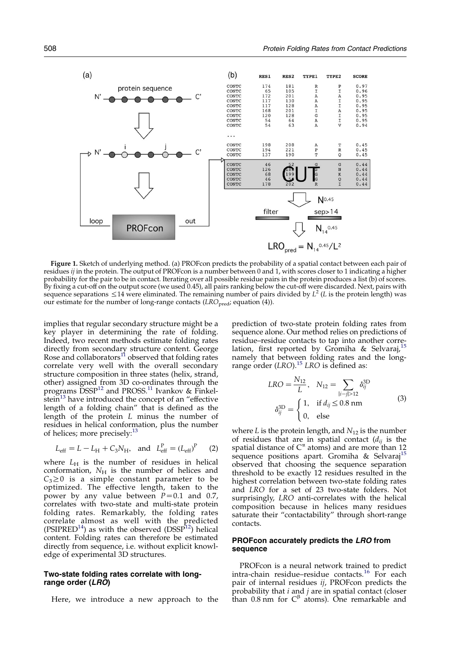<span id="page-1-0"></span>

Figure 1. Sketch of underlying method. (a) PROFcon predicts the probability of a spatial contact between each pair of residues *ij* in the protein. The output of PROFcon is a number between 0 and 1, with scores closer to 1 indicating a higher probability for the pair to be in contact. Iterating over all possible residue pairs in the protein produces a list (b) of scores. By fixing a cut-off on the output score (we used 0.45), all pairs ranking below the cut-off were discarded. Next, pairs with sequence separations  $\leq$ 14 were eliminated. The remaining number of pairs divided by L<sup>2</sup> (L is the protein length) was our estimate for the number of long-range contacts  $(LRO_{pred}$ ; equation (4)).

implies that regular secondary structure might be a key player in determining the rate of folding. Indeed, two recent methods estimate folding rates directly from secondary structure content. George Rose and collaborators $^{11}$  $^{11}$  $^{11}$  observed that folding rates correlate very well with the overall secondary structure composition in three states (helix, strand, other) assigned from 3D co-ordinates through the programs  $DSSP<sup>12</sup>$  $DSSP<sup>12</sup>$  $DSSP<sup>12</sup>$  and PROSS.<sup>[11](#page-4-0)</sup> Ivankov & Finkel-stein<sup>[13](#page-5-0)</sup> have introduced the concept of an "effective length of a folding chain" that is defined as the length of the protein L minus the number of residues in helical conformation, plus the number of helices; more precisely:<sup>[13](#page-5-0)</sup>

$$
L_{\text{eff}} = L - L_{\text{H}} + C_3 N_{\text{H}}, \text{ and } L_{\text{eff}}^{\text{P}} = (L_{\text{eff}})^{\text{P}}
$$
 (2)

where  $L_H$  is the number of residues in helical conformation,  $N_H$  is the number of helices and  $C_3 \geq 0$  is a simple constant parameter to be optimized. The effective length, taken to the power by any value between  $P=0.1$  and 0.7, correlates with two-state and multi-state protein folding rates. Remarkably, the folding rates correlate almost as well with the predicted (PSIPRED<sup>14</sup>) as with the observed (DSSP<sup>12</sup>) helical content. Folding rates can therefore be estimated directly from sequence, i.e. without explicit knowledge of experimental 3D structures.

## Two-state folding rates correlate with longrange order (LRO)

Here, we introduce a new approach to the

prediction of two-state protein folding rates from sequence alone. Our method relies on predictions of residue–residue contacts to tap into another corre-lation, first reported by Gromiha & Selvaraj,<sup>[15](#page-5-0)</sup> namely that between folding rates and the longrange order  $(LRO).$ <sup>15</sup> LRO is defined as:

$$
LRO = \frac{N_{12}}{L}, \quad N_{12} = \sum_{|i-j|>12} \delta_{ij}^{\text{3D}} \n\delta_{ij}^{\text{3D}} = \begin{cases}\n1, & \text{if } d_{ij} \le 0.8 \text{ nm} \\
0, & \text{else}\n\end{cases}
$$
\n(3)

where L is the protein length, and  $N_{12}$  is the number of residues that are in spatial contact  $(d_{ij})$  is the spatial distance of  $C^{\alpha}$  atoms) and are more than 12 sequence positions apart. Gromiha & Selvaraj<sup>[15](#page-5-0)</sup> observed that choosing the sequence separation threshold to be exactly 12 residues resulted in the highest correlation between two-state folding rates and LRO for a set of 23 two-state folders. Not surprisingly, LRO anti-correlates with the helical composition because in helices many residues saturate their "contactability" through short-range contacts.

#### PROFcon accurately predicts the LRO from sequence

PROFcon is a neural network trained to predict intra-chain residue–residue contacts. [16](#page-5-0) For each pair of internal residues ij, PROFcon predicts the probability that *i* and *j* are in spatial contact (closer than 0.8 nm for  $C^{\beta}$  atoms). One remarkable and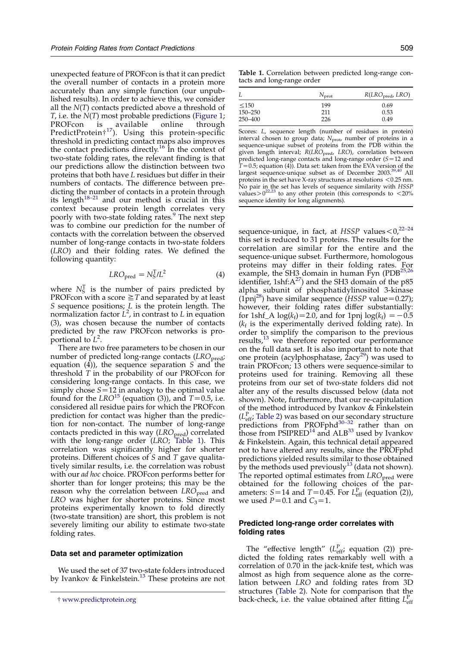<span id="page-2-0"></span>unexpected feature of PROFcon is that it can predict the overall number of contacts in a protein more accurately than any simple function (our unpublished results). In order to achieve this, we consider all the  $N(T)$  contacts predicted above a threshold of  $T$ , i.e. the  $N(T)$  most probable predictions [\(Figure](#page-1-0) 1; PROFcon is available online through PredictProtein†<sup>[17](#page-5-0)</sup>). Using this protein-specific threshold in predicting contact maps also improves the contact predictions directly.<sup>[16](#page-5-0)</sup> In the context of two-state folding rates, the relevant finding is that our predictions allow the distinction between two proteins that both have L residues but differ in their numbers of contacts. The difference between predicting the number of contacts in a protein through its length<sup>[18–21](#page-5-0)</sup> and our method is crucial in this context because protein length correlates very poorly with two-state folding rates.<sup>[9](#page-4-0)</sup> The next step was to combine our prediction for the number of contacts with the correlation between the observed number of long-range contacts in two-state folders (LRO) and their folding rates. We defined the following quantity:

$$
LRO_{\text{pred}} = N_S^{\text{T}} / L^2 \tag{4}
$$

where  $N_S^T$  is the number of pairs predicted by PROFcon with a score  $\geq$  T and separated by at least S sequence positions;  $L$  is the protein length. The normalization factor  $L^2$ , in contrast to L in equation (3), was chosen because the number of contacts predicted by the raw PROFcon networks is proportional to  $\tilde{L}^2$ .

There are two free parameters to be chosen in our number of predicted long-range contacts  $(LRO_{pred};$ equation  $(4)$ ), the sequence separation S and the threshold T in the probability of our PROFcon for considering long-range contacts. In this case, we simply chose  $S=12$  in analogy to the optimal value found for the  $LRO^{15}$  $LRO^{15}$  $LRO^{15}$  (equation (3)), and  $T=0.5$ , i.e. considered all residue pairs for which the PROFcon prediction for contact was higher than the prediction for non-contact. The number of long-range contacts predicted in this way  $(LRO<sub>pred</sub>)$  correlated with the long-range order (LRO; Table 1). This correlation was significantly higher for shorter proteins. Different choices of S and T gave qualitatively similar results, i.e. the correlation was robust with our ad hoc choice. PROFcon performs better for shorter than for longer proteins; this may be the reason why the correlation between  $LRO<sub>pred</sub>$  and LRO was higher for shorter proteins. Since most proteins experimentally known to fold directly (two-state transition) are short, this problem is not severely limiting our ability to estimate two-state folding rates.

#### Data set and parameter optimization

We used the set of 37 two-state folders introduced by Ivankov & Finkelstein.<sup>[13](#page-5-0)</sup> These proteins are not

Table 1. Correlation between predicted long-range contacts and long-range order

| L          | $N_{\text{prot}}$ | $R(LRO_{pred}, LRO)$ |  |
|------------|-------------------|----------------------|--|
| $\leq$ 150 | 199               | 0.69                 |  |
| 150–250    | 211               | 0.53                 |  |
| 250-400    | 226               | 0.49                 |  |

Scores: L, sequence length (number of residues in protein) interval chosen to group data;  $N_{\mathrm{prot}}$  number of proteins in a sequence-unique subset of proteins from the PDB within the given length interval;  $R(LRO_{pred}$ , LRO), correlation between predicted long-range contacts and long-range order  $(S=12$  and  $T=0.5$ ; equation (4)). Data set: taken from the EVA version of the largest sequence-unique subset as of December 2003.<sup>39,40</sup> All proteins in the set have X-ray structures at resolutions  $\leq 0.25$  nm. No pair in the set has levels of sequence similarity with  $HSSP$ <br>values $>0^{22,23}$  $>0^{22,23}$  $>0^{22,23}$  to any other protein (this corresponds to  $<$ 20% sequence identity for long alignments).

sequence-unique, in fact, at  $HSSP$  values <  $0,22-24$ this set is reduced to 31 proteins. The results for the correlation are similar for the entire and the sequence-unique subset. Furthermore, homologous proteins may differ in their folding rates. For example, the SH3 domain in human Fyn (PDB<sup>[25,26](#page-5-0)</sup> identifier, 1shf: $A^{27}$  $A^{27}$  $A^{27}$ ) and the SH3 domain of the p85 alpha subunit of phosphatidylinositol 3-kinase (1pn<sup> $28$ </sup>) have similar sequence (*HSSP* value=0.27); however, their folding rates differ substantially: for 1shf\_A log( $k_f$ ) = 2.0, and for 1pnj log( $k_f$ ) = -0.5  $(k_f$  is the experimentally derived folding rate). In order to simplify the comparison to the previous results,<sup>[13](#page-5-0)</sup> we therefore reported our performance on the full data set. It is also important to note that one protein (acylphosphatase,  $2acy^{29}$  $2acy^{29}$  $2acy^{29}$ ) was used to train PROFcon; 13 others were sequence-similar to proteins used for training. Removing all these proteins from our set of two-state folders did not alter any of the results discussed below (data not shown). Note, furthermore, that our re-capitulation of the method introduced by Ivankov & Finkelstein  $(L_{\text{eff}}^P$ , [Table](#page-3-0) 2) was based on our secondary structure predictions from PROFphd<sup>[30–32](#page-5-0)</sup> rather than on those from  $PSIPRED<sup>14</sup>$  $PSIPRED<sup>14</sup>$  $PSIPRED<sup>14</sup>$  and  $ALB<sup>33</sup>$  $ALB<sup>33</sup>$  $ALB<sup>33</sup>$  used by Ivankov & Finkelstein. Again, this technical detail appeared not to have altered any results, since the PROFphd predictions yielded results similar to those obtained by the methods used previously<sup>13</sup> (data not shown). The reported optimal estimates from  $LRO<sub>pred</sub>$  were obtained for the following choices of the parameters:  $S=14$  and  $T=0.45$ . For  $L_{\text{eff}}^{\text{P}}$  (equation (2)), we used  $P=0.1$  and  $C_3=1$ .

### Predicted long-range order correlates with folding rates

The "effective length"  $(L_{\text{eff}}^P)$  equation (2)) predicted the folding rates remarkably well with a correlation of 0.70 in the jack-knife test, which was almost as high from sequence alone as the correlation between LRO and folding rates from 3D structures [\(Table](#page-3-0) 2). Note for comparison that the back-check, i.e. the value obtained after fitting  $L_{\text{eff}}^{\text{P}}$ 

<sup>†</sup> [www.predictprotein.org](http://www.predictprotein.org)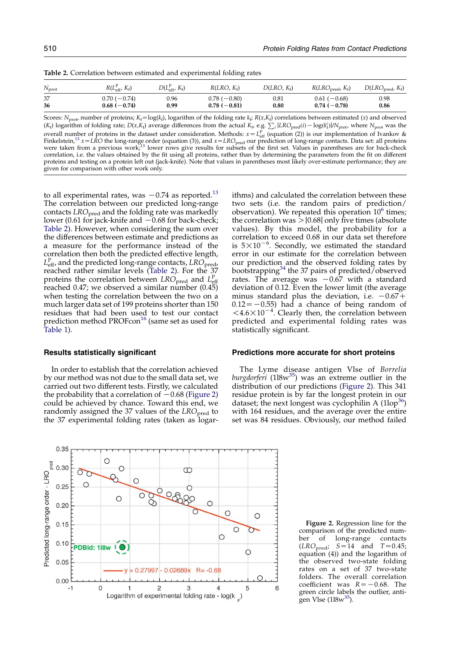<span id="page-3-0"></span>Table 2. Correlation between estimated and experimental folding rates

| $N_{\rm prot}$ | $R(L_{\rm eff}^P, K_{\rm f})$ | $D(L_{\rm eff}^{\rm P}, K_{\rm f})$ | R(LRO, K <sub>f</sub> ) | D(LRO, K <sub>f</sub> ) | $R(LRO_{\text{pred}}, K_{\text{f}})$ | $D(LRO_{\text{pred}}, K_{\text{f}})$ |
|----------------|-------------------------------|-------------------------------------|-------------------------|-------------------------|--------------------------------------|--------------------------------------|
| 37             | $0.70(-0.74)$                 | 0.96                                | $0.78(-0.80)$           | $\rm 0.81$              | $0.61(-0.68)$                        | 0.98                                 |
| 36             | $0.68(-0.74)$                 | 0.99                                | $0.78(-0.81)$           | $_{0.80}$               | $0.74(-0.78)$                        | 0.86                                 |

Scores: N<sub>prot</sub>, number of proteins;  $K_f = \log(k_f)$ , logarithm of the folding rate  $k_f$ ;  $R(x, K_f)$  correlations between estimated (x) and observed ( $K_f$ ) logarithm of folding rate;  $D(x,K_f)$  average differences from the actual  $K_f$ , e.g.  $\sum_i |LRO_{pred}(i) - log(k_f^i)|/N_{prot}$ , where  $N_{prot}$  was the overall number of proteins in the dataset under consideration. Methods:  $x = L_{\text{eff}}^{\text{P}}$  (equation (2)) is our implementation of Ivankov & Finkelstein,<sup>[13](#page-5-0)</sup>  $x = LRO$  the long-range order (equation (3)), and  $x = LRO_{\text{pred}}$  our were taken from a previous work;<sup>[13](#page-5-0)</sup> lower rows give results for subsets of the first set. Values in parentheses are for back-check correlation, i.e. the values obtained by the fit using all proteins, rather than by determining the parameters from the fit on different proteins and testing on a protein left out (jack-knife). Note that values in parentheses most likely over-estimate performance; they are given for comparison with other work only.

to all experimental rates, was  $-0.74$  as reported.<sup>[13](#page-5-0)</sup> The correlation between our predicted long-range contacts  $LRO<sub>pred</sub>$  and the folding rate was markedly lower (0.61 for jack-knife and  $-0.68$  for back-check; Table 2). However, when considering the sum over the differences between estimate and predictions as a measure for the performance instead of the correlation then both the predicted effective length,  $L^P_{\text{eff}}$ , and the predicted long-range contacts, LRO<sub>pred</sub>, reached rather similar levels (Table 2). For the 37 proteins the correlation between  $LRO_{pred}$  and  $L_{eff}^{P}$ reached 0.47; we observed a similar number (0.45) when testing the correlation between the two on a much larger data set of 199 proteins shorter than 150 residues that had been used to test our contact prediction method PROFcon<sup>[16](#page-5-0)</sup> (same set as used for [Table](#page-2-0) 1).

#### Results statistically significant

In order to establish that the correlation achieved by our method was not due to the small data set, we carried out two different tests. Firstly, we calculated the probability that a correlation of  $-0.68$  (Figure 2) could be achieved by chance. Toward this end, we randomly assigned the 37 values of the  $LRO_{pred}$  to the 37 experimental folding rates (taken as logarithms) and calculated the correlation between these two sets (i.e. the random pairs of prediction/ observation). We repeated this operation  $10<sup>6</sup>$  $10<sup>6</sup>$  $10<sup>6</sup>$  times; the correlation was  $>$  [0.68] only five times (absolute values). By this model, the probability for a correlation to exceed 0.68 in our data set therefore is  $5 \times 10^{-6}$ . Secondly, we estimated the standard error in our estimate for the correlation between our prediction and the observed folding rates by bootstrapping<sup>[34](#page-5-0)</sup> the 37 pairs of predicted/observed rates. The average was  $-0.67$  with a standard deviation of 0.12. Even the lower limit (the average minus standard plus the deviation, i.e.  $-0.67 +$  $0.12 = -0.55$ ) had a chance of being random of  $\leq 4.6 \times 10^{-4}$ . Clearly then, the correlation between predicted and experimental folding rates was statistically significant.

#### Predictions more accurate for short proteins

The Lyme disease antigen Vlse of Borrelia burgdorferi (1 $18w^{35}$ ) was an extreme outlier in the distribution of our predictions (Figure 2). This 341 residue protein is by far the longest protein in our dataset; the next longest was cyclophilin A  $(1\text{lop}^{36})$ with 164 residues, and the average over the entire set was 84 residues. Obviously, our method failed

comparison of the predicted number of long-range contacts  $(LRO_{pred}; S=14$  and  $T=0.45;$ equation  $(4)$ ) and the logarithm of the observed two-state folding rates on a set of 37 two-state folders. The overall correlation coefficient was  $R=-0.68$ . The green circle labels the outlier, anti-



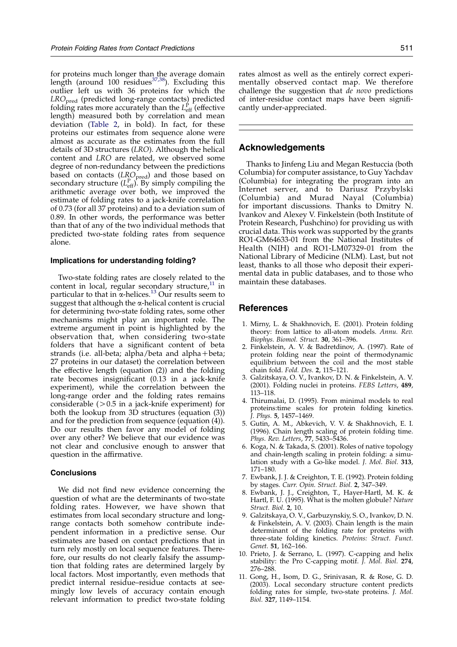<span id="page-4-0"></span>for proteins much longer than the average domain length (around 100 residues $37,38$ ). Excluding this outlier left us with 36 proteins for which the LROpred (predicted long-range contacts) predicted folding rates more accurately than the  $L_{\text{eff}}^{\text{P}}$  (effective length) measured both by correlation and mean deviation ([Table](#page-3-0) 2, in bold). In fact, for these proteins our estimates from sequence alone were almost as accurate as the estimates from the full details of 3D structures (LRO). Although the helical content and LRO are related, we observed some degree of non-redundancy between the predictions based on contacts  $(LRO_{pred})$  and those based on secondary structure  $(L_{\text{eff}}^{\text{P}})$ . By simply compiling the arithmetic average over both, we improved the estimate of folding rates to a jack-knife correlation of 0.73 (for all 37 proteins) and to a deviation sum of 0.89. In other words, the performance was better than that of any of the two individual methods that predicted two-state folding rates from sequence alone.

#### Implications for understanding folding?

Two-state folding rates are closely related to the content in local, regular secondary structure, $11$  in particular to that in  $\alpha$ -helices.<sup>[13](#page-5-0)</sup> Our results seem to suggest that although the  $\alpha$ -helical content is crucial for determining two-state folding rates, some other mechanisms might play an important role. The extreme argument in point is highlighted by the observation that, when considering two-state folders that have a significant content of beta strands (i.e. all-beta; alpha/beta and alpha+beta; 27 proteins in our dataset) the correlation between the effective length (equation (2)) and the folding rate becomes insignificant (0.13 in a jack-knife experiment), while the correlation between the long-range order and the folding rates remains considerable  $(>0.5$  in a jack-knife experiment) for both the lookup from  $3D$  structures (equation  $(3)$ ) and for the prediction from sequence (equation (4)). Do our results then favor any model of folding over any other? We believe that our evidence was not clear and conclusive enough to answer that question in the affirmative.

## **Conclusions**

We did not find new evidence concerning the question of what are the determinants of two-state folding rates. However, we have shown that estimates from local secondary structure and longrange contacts both somehow contribute independent information in a predictive sense. Our estimates are based on contact predictions that in turn rely mostly on local sequence features. Therefore, our results do not clearly falsify the assumption that folding rates are determined largely by local factors. Most importantly, even methods that predict internal residue–residue contacts at seemingly low levels of accuracy contain enough relevant information to predict two-state folding

rates almost as well as the entirely correct experimentally observed contact map. We therefore challenge the suggestion that de novo predictions of inter-residue contact maps have been significantly under-appreciated.

## Acknowledgements

Thanks to Jinfeng Liu and Megan Restuccia (both Columbia) for computer assistance, to Guy Yachdav (Columbia) for integrating the program into an Internet server, and to Dariusz Przybylski (Columbia) and Murad Nayal (Columbia) for important discussions. Thanks to Dmitry N. Ivankov and Alexey V. Finkelstein (both Institute of Protein Research, Pushchino) for providing us with crucial data. This work was supported by the grants RO1-GM64633-01 from the National Institutes of Health (NIH) and RO1-LM07329-01 from the National Library of Medicine (NLM). Last, but not least, thanks to all those who deposit their experimental data in public databases, and to those who maintain these databases.

## References

- 1. Mirny, L. & Shakhnovich, E. (2001). Protein folding theory: from lattice to all-atom models. Annu. Rev. Biophys. Biomol. Struct. 30, 361–396.
- 2. Finkelstein, A. V. & Badretdinov, A. (1997). Rate of protein folding near the point of thermodynamic equilibrium between the coil and the most stable chain fold. Fold. Des. 2, 115–121.
- 3. Galzitskaya, O. V., Ivankov, D. N. & Finkelstein, A. V. (2001). Folding nuclei in proteins. FEBS Letters, 489, 113–118.
- 4. Thirumalai, D. (1995). From minimal models to real proteins:time scales for protein folding kinetics. J. Phys. 5, 1457–1469.
- 5. Gutin, A. M., Abkevich, V. V. & Shakhnovich, E. I. (1996). Chain length scaling of protein folding time. Phys. Rev. Letters, 77, 5433–5436.
- 6. Koga, N. & Takada, S. (2001). Roles of native topology and chain-length scaling in protein folding: a simulation study with a Go-like model. J. Mol. Biol. 313, 171–180.
- 7. Ewbank, J. J. & Creighton, T. E. (1992). Protein folding by stages. Curr. Opin. Struct. Biol. 2, 347–349.
- 8. Ewbank, J. J., Creighton, T., Hayer-Hartl, M. K. & Hartl, F. U. (1995). What is the molten globule? Nature Struct. Biol. 2, 10.
- 9. Galzitskaya, O. V., Garbuzynskiy, S. O., Ivankov, D. N. & Finkelstein, A. V. (2003). Chain length is the main determinant of the folding rate for proteins with three-state folding kinetics. Proteins: Struct. Funct. Genet. 51, 162–166.
- 10. Prieto, J. & Serrano, L. (1997). C-capping and helix stability: the Pro C-capping motif. J. Mol. Biol. 274, 276–288.
- 11. Gong, H., Isom, D. G., Srinivasan, R. & Rose, G. D. (2003). Local secondary structure content predicts folding rates for simple, two-state proteins. J. Mol. Biol. 327, 1149–1154.